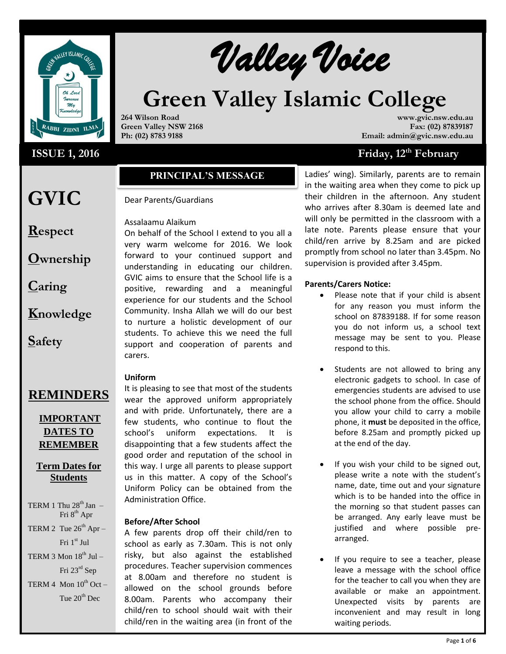

# **ISSUE 1, 2016** Friday, 12

**GVIC** 

**Respect**

**Caring**

**Safety**

**Ownership**

**Knowledge**

# Walley Voice

# **Green Valley Islamic College**

**264 Wilson Road Green Valley NSW 2168 Ph: (02) 8783 9188**

**www.gvic.nsw.edu.au Fax: (02) 87839187 Email: admin@gvic.nsw.edu.au**

# Friday, 12<sup>th</sup> February

# **PRINCIPAL'S MESSAGE**

# Dear Parents/Guardians

# Assalaamu Alaikum

On behalf of the School I extend to you all a very warm welcome for 2016. We look forward to your continued support and understanding in educating our children. GVIC aims to ensure that the School life is a positive, rewarding and a meaningful experience for our students and the School Community. Insha Allah we will do our best to nurture a holistic development of our students. To achieve this we need the full support and cooperation of parents and carers.

# **Uniform**

# **REMINDERS**

# **IMPORTANT DATES TO REMEMBER**

# **Term Dates for Students**

- TERM 1 Thu  $28<sup>th</sup>$  Jan Fri 8<sup>th</sup> Apr
- TERM 2 Tue  $26^{th}$  Apr Fri 1st Jul
- TERM 3 Mon  $18^{th}$  Jul Fri 23rd Sep
- TERM 4 Mon  $10^{th}$  Oct Tue  $20^{th}$  Dec.

It is pleasing to see that most of the students wear the approved uniform appropriately and with pride. Unfortunately, there are a few students, who continue to flout the school's uniform expectations. It is disappointing that a few students affect the good order and reputation of the school in this way. I urge all parents to please support us in this matter. A copy of the School's Uniform Policy can be obtained from the Administration Office.

# **Before/After School**

A few parents drop off their child/ren to school as early as 7.30am. This is not only risky, but also against the established procedures. Teacher supervision commences at 8.00am and therefore no student is allowed on the school grounds before 8.00am. Parents who accompany their child/ren to school should wait with their child/ren in the waiting area (in front of the

Ladies' wing). Similarly, parents are to remain in the waiting area when they come to pick up their children in the afternoon. Any student who arrives after 8.30am is deemed late and will only be permitted in the classroom with a late note. Parents please ensure that your child/ren arrive by 8.25am and are picked promptly from school no later than 3.45pm. No supervision is provided after 3.45pm.

# **Parents/Carers Notice:**

- Please note that if your child is absent for any reason you must inform the school on 87839188. If for some reason you do not inform us, a school text message may be sent to you. Please respond to this.
- Students are not allowed to bring any electronic gadgets to school. In case of emergencies students are advised to use the school phone from the office. Should you allow your child to carry a mobile phone, it **must** be deposited in the office, before 8.25am and promptly picked up at the end of the day.
- If you wish your child to be signed out, please write a note with the student's name, date, time out and your signature which is to be handed into the office in the morning so that student passes can be arranged. Any early leave must be justified and where possible prearranged.
- If you require to see a teacher, please leave a message with the school office for the teacher to call you when they are available or make an appointment. Unexpected visits by parents are inconvenient and may result in long waiting periods.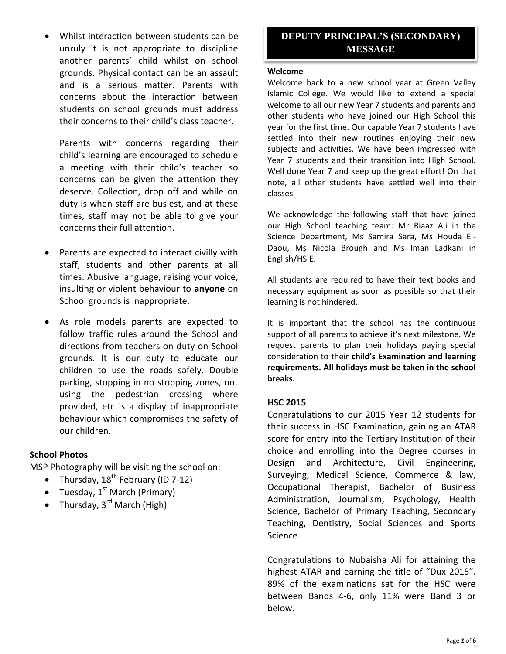Whilst interaction between students can be unruly it is not appropriate to discipline another parents' child whilst on school grounds. Physical contact can be an assault and is a serious matter. Parents with concerns about the interaction between students on school grounds must address their concerns to their child's class teacher.

Parents with concerns regarding their child's learning are encouraged to schedule a meeting with their child's teacher so concerns can be given the attention they deserve. Collection, drop off and while on duty is when staff are busiest, and at these times, staff may not be able to give your concerns their full attention.

- Parents are expected to interact civilly with staff, students and other parents at all times. Abusive language, raising your voice, insulting or violent behaviour to **anyone** on School grounds is inappropriate.
- As role models parents are expected to follow traffic rules around the School and directions from teachers on duty on School grounds. It is our duty to educate our children to use the roads safely. Double parking, stopping in no stopping zones, not using the pedestrian crossing where provided, etc is a display of inappropriate behaviour which compromises the safety of our children.

# **School Photos**

MSP Photography will be visiting the school on:

- Thursday,  $18^{th}$  February (ID 7-12)
- Tuesday,  $1^{st}$  March (Primary)
- Thursday,  $3^{rd}$  March (High)

# **DEPUTY PRINCIPAL'S (SECONDARY) MESSAGE**

#### **Welcome**

Welcome back to a new school year at Green Valley Islamic College. We would like to extend a special welcome to all our new Year 7 students and parents and other students who have joined our High School this year for the first time. Our capable Year 7 students have settled into their new routines enjoying their new subjects and activities. We have been impressed with Year 7 students and their transition into High School. Well done Year 7 and keep up the great effort! On that note, all other students have settled well into their classes.

We acknowledge the following staff that have joined our High School teaching team: Mr Riaaz Ali in the Science Department, Ms Samira Sara, Ms Houda El-Daou, Ms Nicola Brough and Ms Iman Ladkani in English/HSIE.

All students are required to have their text books and necessary equipment as soon as possible so that their learning is not hindered.

It is important that the school has the continuous support of all parents to achieve it's next milestone. We request parents to plan their holidays paying special consideration to their **child's Examination and learning requirements. All holidays must be taken in the school breaks.**

# **HSC 2015**

Congratulations to our 2015 Year 12 students for their success in HSC Examination, gaining an ATAR score for entry into the Tertiary Institution of their choice and enrolling into the Degree courses in Design and Architecture, Civil Engineering, Surveying, Medical Science, Commerce & law, Occupational Therapist, Bachelor of Business Administration, Journalism, Psychology, Health Science, Bachelor of Primary Teaching, Secondary Teaching, Dentistry, Social Sciences and Sports Science.

Congratulations to Nubaisha Ali for attaining the highest ATAR and earning the title of "Dux 2015". 89% of the examinations sat for the HSC were between Bands 4-6, only 11% were Band 3 or below.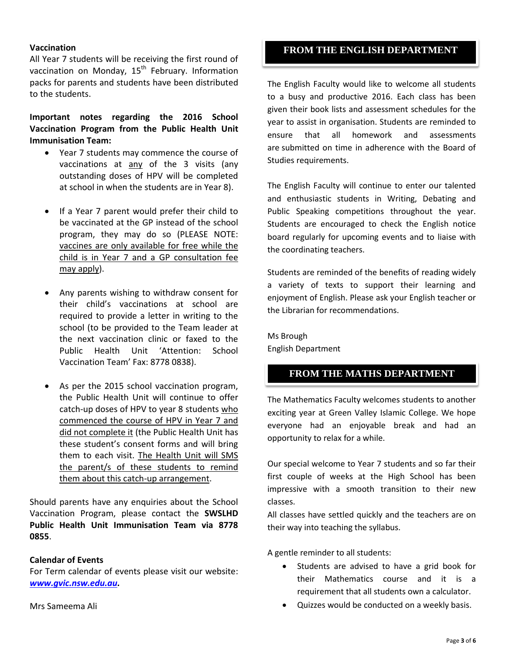## **Vaccination**

All Year 7 students will be receiving the first round of vaccination on Monday,  $15<sup>th</sup>$  February. Information packs for parents and students have been distributed to the students.

**Important notes regarding the 2016 School Vaccination Program from the Public Health Unit Immunisation Team:**

- Year 7 students may commence the course of vaccinations at any of the 3 visits (any outstanding doses of HPV will be completed at school in when the students are in Year 8).
- If a Year 7 parent would prefer their child to be vaccinated at the GP instead of the school program, they may do so (PLEASE NOTE: vaccines are only available for free while the child is in Year 7 and a GP consultation fee may apply).
- Any parents wishing to withdraw consent for their child's vaccinations at school are required to provide a letter in writing to the school (to be provided to the Team leader at the next vaccination clinic or faxed to the Public Health Unit 'Attention: School Vaccination Team' Fax: 8778 0838).
- As per the 2015 school vaccination program, the Public Health Unit will continue to offer catch-up doses of HPV to year 8 students who commenced the course of HPV in Year 7 and did not complete it (the Public Health Unit has these student's consent forms and will bring them to each visit. The Health Unit will SMS the parent/s of these students to remind them about this catch-up arrangement.

Should parents have any enquiries about the School Vaccination Program, please contact the **SWSLHD Public Health Unit Immunisation Team via 8778 0855**.

#### **Calendar of Events**

For Term calendar of events please visit our website: *[www.gvic.nsw.edu.au.](http://www.gvic.nsw.edu.au/)*

# **FROM THE ENGLISH DEPARTMENT**

The English Faculty would like to welcome all students to a busy and productive 2016. Each class has been given their book lists and assessment schedules for the year to assist in organisation. Students are reminded to ensure that all homework and assessments are submitted on time in adherence with the Board of Studies requirements.

The English Faculty will continue to enter our talented and enthusiastic students in Writing, Debating and Public Speaking competitions throughout the year. Students are encouraged to check the English notice board regularly for upcoming events and to liaise with the coordinating teachers.

Students are reminded of the benefits of reading widely a variety of texts to support their learning and enjoyment of English. Please ask your English teacher or the Librarian for recommendations.

Ms Brough English Department

# **FROM THE MATHS DEPARTMENT**

The Mathematics Faculty welcomes students to another exciting year at Green Valley Islamic College. We hope everyone had an enjoyable break and had an opportunity to relax for a while.

Our special welcome to Year 7 students and so far their first couple of weeks at the High School has been impressive with a smooth transition to their new classes.

All classes have settled quickly and the teachers are on their way into teaching the syllabus.

A gentle reminder to all students:

- Students are advised to have a grid book for their Mathematics course and it is a requirement that all students own a calculator.
- Quizzes would be conducted on a weekly basis.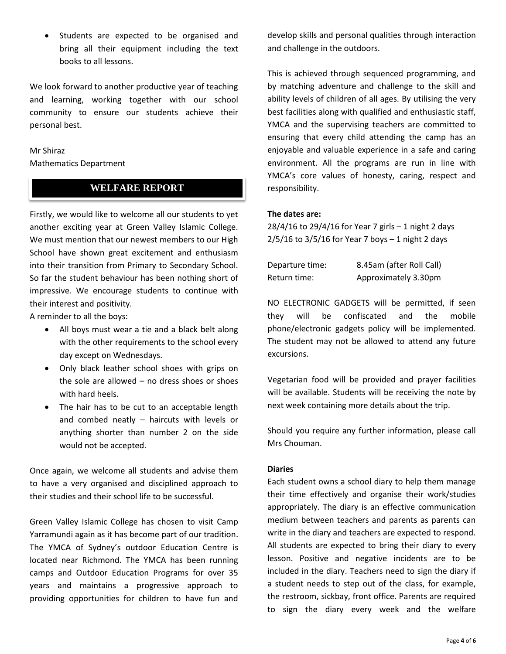Students are expected to be organised and bring all their equipment including the text books to all lessons.

We look forward to another productive year of teaching and learning, working together with our school community to ensure our students achieve their personal best.

### Mr Shiraz

Mathematics Department

# **WELFARE REPORT**

Firstly, we would like to welcome all our students to yet another exciting year at Green Valley Islamic College. We must mention that our newest members to our High School have shown great excitement and enthusiasm into their transition from Primary to Secondary School. So far the student behaviour has been nothing short of impressive. We encourage students to continue with their interest and positivity.

A reminder to all the boys:

- All boys must wear a tie and a black belt along with the other requirements to the school every day except on Wednesdays.
- Only black leather school shoes with grips on the sole are allowed – no dress shoes or shoes with hard heels.
- The hair has to be cut to an acceptable length and combed neatly – haircuts with levels or anything shorter than number 2 on the side would not be accepted.

Once again, we welcome all students and advise them to have a very organised and disciplined approach to their studies and their school life to be successful.

Green Valley Islamic College has chosen to visit Camp Yarramundi again as it has become part of our tradition. The YMCA of Sydney's outdoor Education Centre is located near Richmond. The YMCA has been running camps and Outdoor Education Programs for over 35 years and maintains a progressive approach to providing opportunities for children to have fun and

develop skills and personal qualities through interaction and challenge in the outdoors.

This is achieved through sequenced programming, and by matching adventure and challenge to the skill and ability levels of children of all ages. By utilising the very best facilities along with qualified and enthusiastic staff, YMCA and the supervising teachers are committed to ensuring that every child attending the camp has an enjoyable and valuable experience in a safe and caring environment. All the programs are run in line with YMCA's core values of honesty, caring, respect and responsibility.

#### **The dates are:**

28/4/16 to 29/4/16 for Year 7 girls – 1 night 2 days  $2/5/16$  to  $3/5/16$  for Year 7 boys  $-1$  night 2 days

| Departure time: | 8.45am (after Roll Call) |
|-----------------|--------------------------|
| Return time:    | Approximately 3.30pm     |

NO ELECTRONIC GADGETS will be permitted, if seen they will be confiscated and the mobile phone/electronic gadgets policy will be implemented. The student may not be allowed to attend any future excursions.

Vegetarian food will be provided and prayer facilities will be available. Students will be receiving the note by next week containing more details about the trip.

Should you require any further information, please call Mrs Chouman.

#### **Diaries**

Each student owns a school diary to help them manage their time effectively and organise their work/studies appropriately. The diary is an effective communication medium between teachers and parents as parents can write in the diary and teachers are expected to respond. All students are expected to bring their diary to every lesson. Positive and negative incidents are to be included in the diary. Teachers need to sign the diary if a student needs to step out of the class, for example, the restroom, sickbay, front office. Parents are required to sign the diary every week and the welfare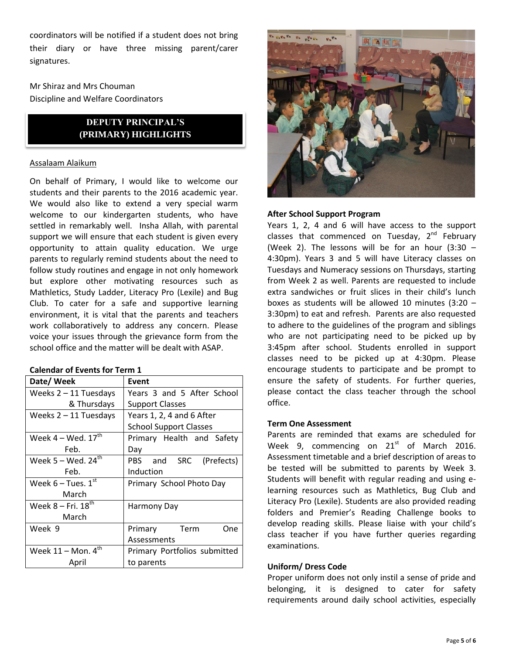coordinators will be notified if a student does not bring their diary or have three missing parent/carer signatures.

Mr Shiraz and Mrs Chouman Discipline and Welfare Coordinators

# **DEPUTY PRINCIPAL'S (PRIMARY) HIGHLIGHTS**

# Assalaam Alaikum

On behalf of Primary, I would like to welcome our students and their parents to the 2016 academic year. We would also like to extend a very special warm welcome to our kindergarten students, who have settled in remarkably well. Insha Allah, with parental support we will ensure that each student is given every opportunity to attain quality education. We urge parents to regularly remind students about the need to follow study routines and engage in not only homework but explore other motivating resources such as Mathletics, Study Ladder, Literacy Pro (Lexile) and Bug Club. To cater for a safe and supportive learning environment, it is vital that the parents and teachers work collaboratively to address any concern. Please voice your issues through the grievance form from the school office and the matter will be dealt with ASAP.

# **Calendar of Events for Term 1**

| Date/ Week                       | Event                         |
|----------------------------------|-------------------------------|
| Weeks $2 - 11$ Tuesdays          | Years 3 and 5 After School    |
| & Thursdays                      | <b>Support Classes</b>        |
| Weeks $2 - 11$ Tuesdays          | Years 1, 2, 4 and 6 After     |
|                                  | <b>School Support Classes</b> |
| Week $4 -$ Wed. $17^{\text{th}}$ | Primary Health and Safety     |
| Feb.                             | Day                           |
| Week 5 – Wed. $24^{\text{th}}$   | PBS and SRC (Prefects)        |
| Feb.                             | Induction                     |
| Week $6$ – Tues. $1st$           | Primary School Photo Day      |
| March                            |                               |
| Week $8$ – Fri, $18^{th}$        | Harmony Day                   |
| March                            |                               |
| Week 9                           | Primary Term<br>One           |
|                                  | Assessments                   |
| Week $11 -$ Mon. $4^{th}$        | Primary Portfolios submitted  |
| April                            | to parents                    |



# **After School Support Program**

Years 1, 2, 4 and 6 will have access to the support classes that commenced on Tuesday, 2<sup>nd</sup> February (Week 2). The lessons will be for an hour  $(3:30 -$ 4:30pm). Years 3 and 5 will have Literacy classes on Tuesdays and Numeracy sessions on Thursdays, starting from Week 2 as well. Parents are requested to include extra sandwiches or fruit slices in their child's lunch boxes as students will be allowed 10 minutes (3:20 – 3:30pm) to eat and refresh. Parents are also requested to adhere to the guidelines of the program and siblings who are not participating need to be picked up by 3:45pm after school. Students enrolled in support classes need to be picked up at 4:30pm. Please encourage students to participate and be prompt to ensure the safety of students. For further queries, please contact the class teacher through the school office.

#### **Term One Assessment**

Parents are reminded that exams are scheduled for Week 9, commencing on  $21^{st}$  of March 2016. Assessment timetable and a brief description of areas to be tested will be submitted to parents by Week 3. Students will benefit with regular reading and using elearning resources such as Mathletics, Bug Club and Literacy Pro (Lexile). Students are also provided reading folders and Premier's Reading Challenge books to develop reading skills. Please liaise with your child's class teacher if you have further queries regarding examinations.

#### **Uniform/ Dress Code**

Proper uniform does not only instil a sense of pride and belonging, it is designed to cater for safety requirements around daily school activities, especially